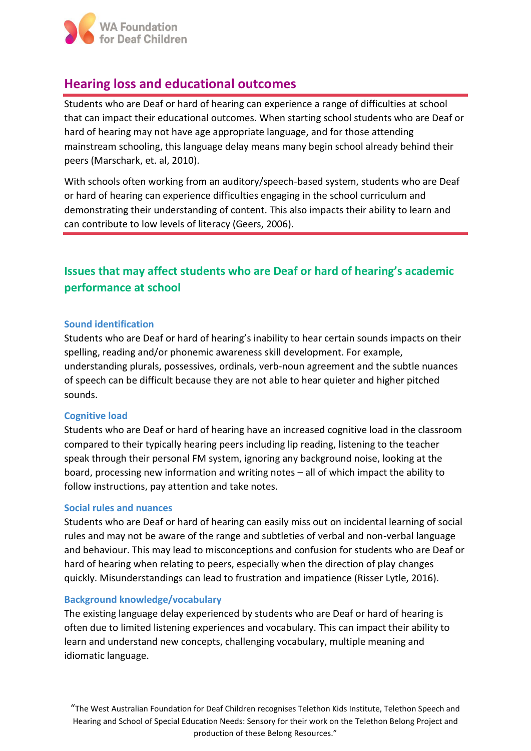

# **Hearing loss and educational outcomes**

Students who are Deaf or hard of hearing can experience a range of difficulties at school that can impact their educational outcomes. When starting school students who are Deaf or hard of hearing may not have age appropriate language, and for those attending mainstream schooling, this language delay means many begin school already behind their peers (Marschark, et. al, 2010).

With schools often working from an auditory/speech-based system, students who are Deaf or hard of hearing can experience difficulties engaging in the school curriculum and demonstrating their understanding of content. This also impacts their ability to learn and can contribute to low levels of literacy (Geers, 2006).

# **Issues that may affect students who are Deaf or hard of hearing's academic performance at school**

## **Sound identification**

Students who are Deaf or hard of hearing's inability to hear certain sounds impacts on their spelling, reading and/or phonemic awareness skill development. For example, understanding plurals, possessives, ordinals, verb-noun agreement and the subtle nuances of speech can be difficult because they are not able to hear quieter and higher pitched sounds.

### **Cognitive load**

Students who are Deaf or hard of hearing have an increased cognitive load in the classroom compared to their typically hearing peers including lip reading, listening to the teacher speak through their personal FM system, ignoring any background noise, looking at the board, processing new information and writing notes – all of which impact the ability to follow instructions, pay attention and take notes.

### **Social rules and nuances**

Students who are Deaf or hard of hearing can easily miss out on incidental learning of social rules and may not be aware of the range and subtleties of verbal and non-verbal language and behaviour. This may lead to misconceptions and confusion for students who are Deaf or hard of hearing when relating to peers, especially when the direction of play changes quickly. Misunderstandings can lead to frustration and impatience (Risser Lytle, 2016).

### **Background knowledge/vocabulary**

The existing language delay experienced by students who are Deaf or hard of hearing is often due to limited listening experiences and vocabulary. This can impact their ability to learn and understand new concepts, challenging vocabulary, multiple meaning and idiomatic language.

"The West Australian Foundation for Deaf Children recognises Telethon Kids Institute, Telethon Speech and Hearing and School of Special Education Needs: Sensory for their work on the Telethon Belong Project and production of these Belong Resources."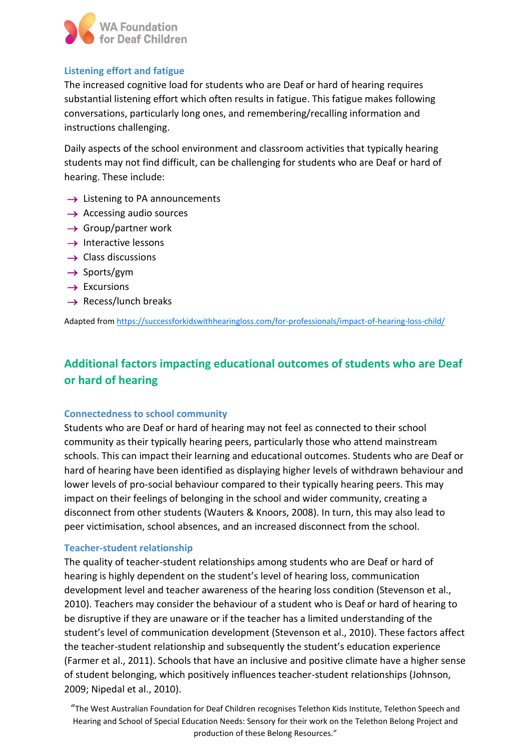

# **Listening effort and fatigue**

The increased cognitive load for students who are Deaf or hard of hearing requires substantial listening effort which often results in fatigue. This fatigue makes following conversations, particularly long ones, and remembering/recalling information and instructions challenging.

Daily aspects of the school environment and classroom activities that typically hearing students may not find difficult, can be challenging for students who are Deaf or hard of hearing. These include:

- $\rightarrow$  Listening to PA announcements
- $\rightarrow$  Accessing audio sources
- $\rightarrow$  Group/partner work
- $\rightarrow$  Interactive lessons
- $\rightarrow$  Class discussions
- $\rightarrow$  Sports/gym
- $\rightarrow$  Excursions
- $\rightarrow$  Recess/lunch breaks

Adapted from <https://successforkidswithhearingloss.com/for-professionals/impact-of-hearing-loss-child/>

# **Additional factors impacting educational outcomes of students who are Deaf or hard of hearing**

## **Connectedness to school community**

Students who are Deaf or hard of hearing may not feel as connected to their school community as their typically hearing peers, particularly those who attend mainstream schools. This can impact their learning and educational outcomes. Students who are Deaf or hard of hearing have been identified as displaying higher levels of withdrawn behaviour and lower levels of pro-social behaviour compared to their typically hearing peers. This may impact on their feelings of belonging in the school and wider community, creating a disconnect from other students (Wauters & Knoors, 2008). In turn, this may also lead to peer victimisation, school absences, and an increased disconnect from the school.

## **Teacher-student relationship**

The quality of teacher-student relationships among students who are Deaf or hard of hearing is highly dependent on the student's level of hearing loss, communication development level and teacher awareness of the hearing loss condition (Stevenson et al., 2010). Teachers may consider the behaviour of a student who is Deaf or hard of hearing to be disruptive if they are unaware or if the teacher has a limited understanding of the student's level of communication development (Stevenson et al., 2010). These factors affect the teacher-student relationship and subsequently the student's education experience (Farmer et al., 2011). Schools that have an inclusive and positive climate have a higher sense of student belonging, which positively influences teacher-student relationships (Johnson, 2009; Nipedal et al., 2010).

"The West Australian Foundation for Deaf Children recognises Telethon Kids Institute, Telethon Speech and Hearing and School of Special Education Needs: Sensory for their work on the Telethon Belong Project and production of these Belong Resources."